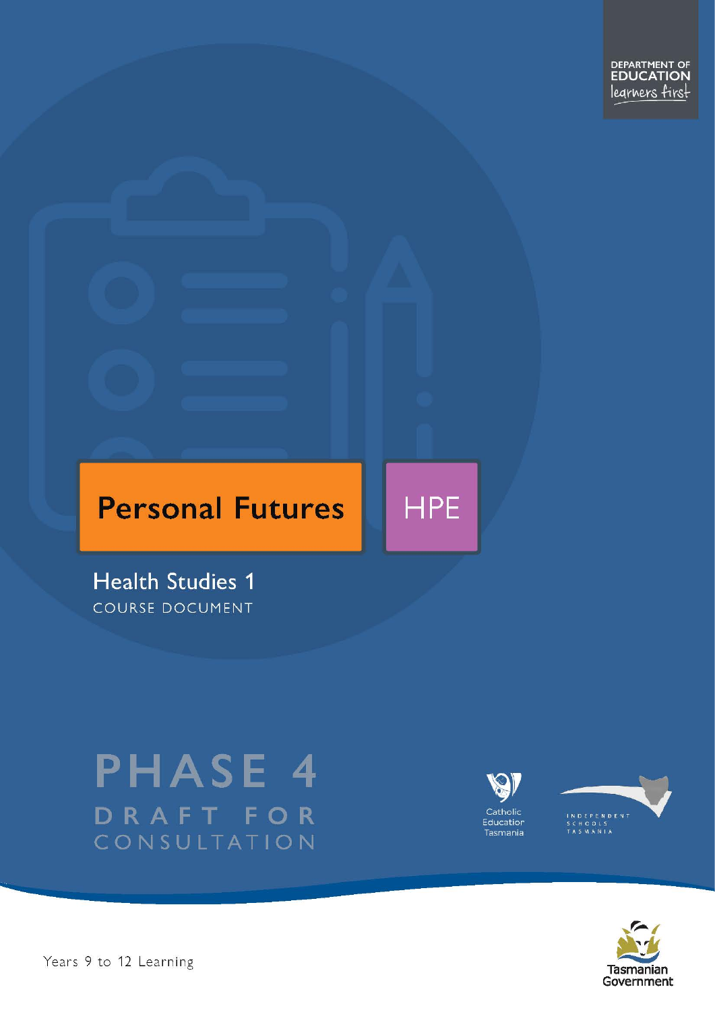DEPARTMENT OF<br>EDUCATION legrners first

# **Personal Futures**

**HPE** 

**Health Studies 1** COURSE DOCUMENT

# **PHASE 4** DRAFT FOR CONSULTATION





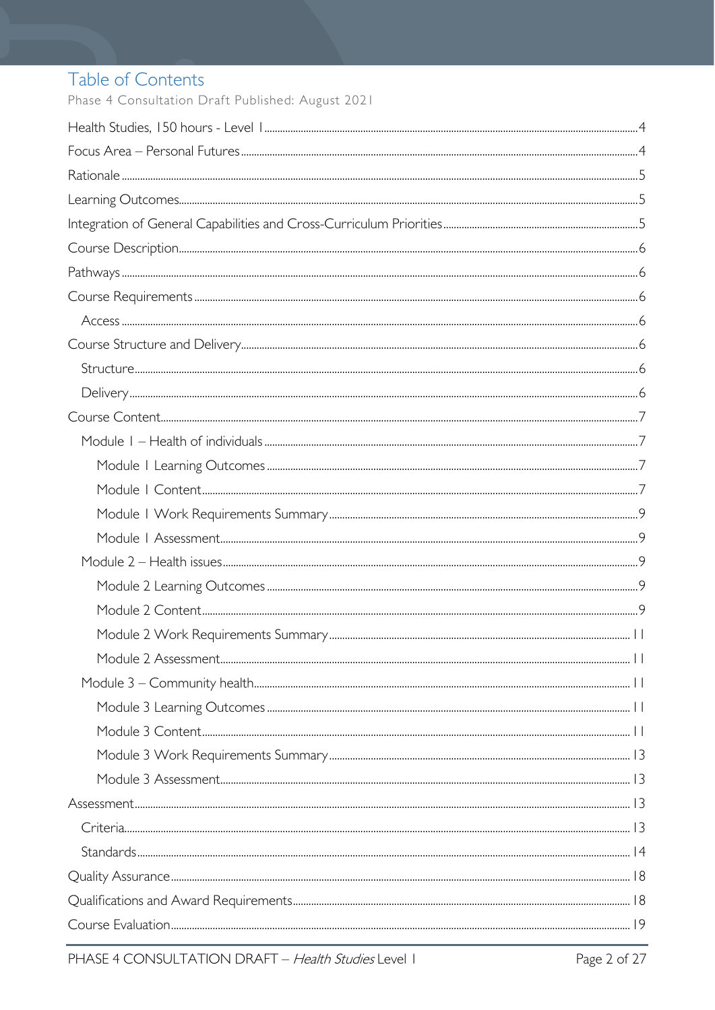# Table of Contents

Phase 4 Consultation Draft Published: August 2021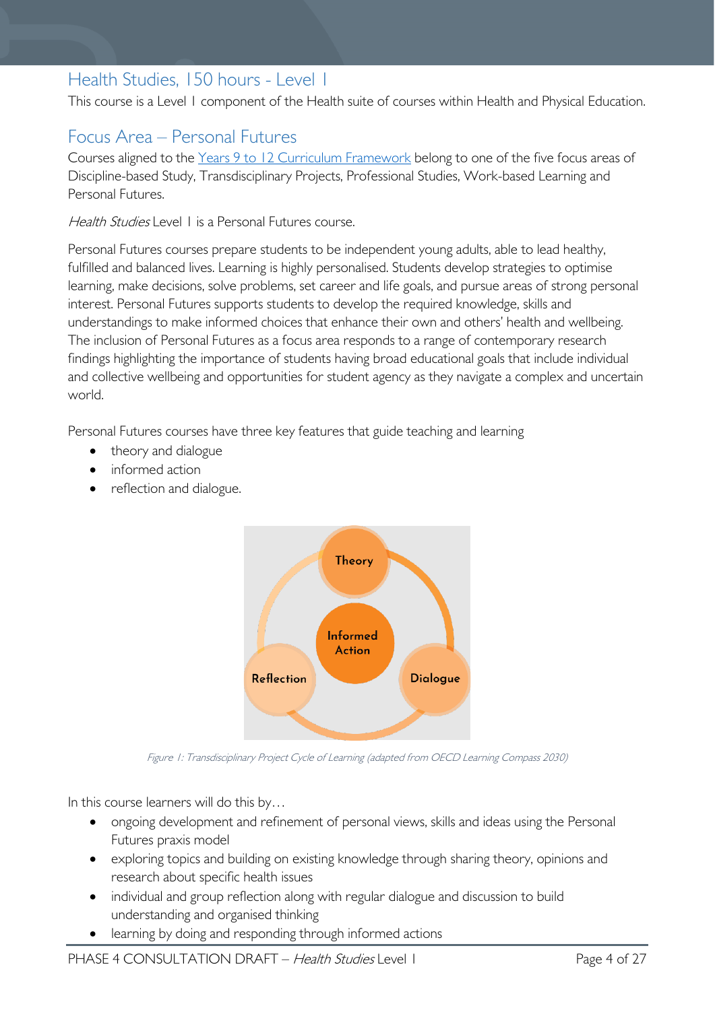# <span id="page-3-0"></span>Health Studies, 150 hours - Level 1

This course is a Level 1 component of the Health suite of courses within Health and Physical Education.

# <span id="page-3-1"></span>Focus Area – Personal Futures

Courses aligned to the [Years 9 to 12 Curriculum Framework](https://publicdocumentcentre.education.tas.gov.au/library/Shared%20Documents/Education%209-12%20Frameworks%20A3%20WEB%20POSTER.pdf) belong to one of the five focus areas of Discipline-based Study, Transdisciplinary Projects, Professional Studies, Work-based Learning and Personal Futures.

Health Studies Level 1 is a Personal Futures course.

Personal Futures courses prepare students to be independent young adults, able to lead healthy, fulfilled and balanced lives. Learning is highly personalised. Students develop strategies to optimise learning, make decisions, solve problems, set career and life goals, and pursue areas of strong personal interest. Personal Futures supports students to develop the required knowledge, skills and understandings to make informed choices that enhance their own and others' health and wellbeing. The inclusion of Personal Futures as a focus area responds to a range of contemporary research findings highlighting the importance of students having broad educational goals that include individual and collective wellbeing and opportunities for student agency as they navigate a complex and uncertain world.

Personal Futures courses have three key features that guide teaching and learning

- theory and dialogue
- informed action
- reflection and dialogue.



Figure 1: Transdisciplinary Project Cycle of Learning (adapted from OECD Learning Compass 2030)

In this course learners will do this by…

- ongoing development and refinement of personal views, skills and ideas using the Personal Futures praxis model
- exploring topics and building on existing knowledge through sharing theory, opinions and research about specific health issues
- individual and group reflection along with regular dialogue and discussion to build understanding and organised thinking
- learning by doing and responding through informed actions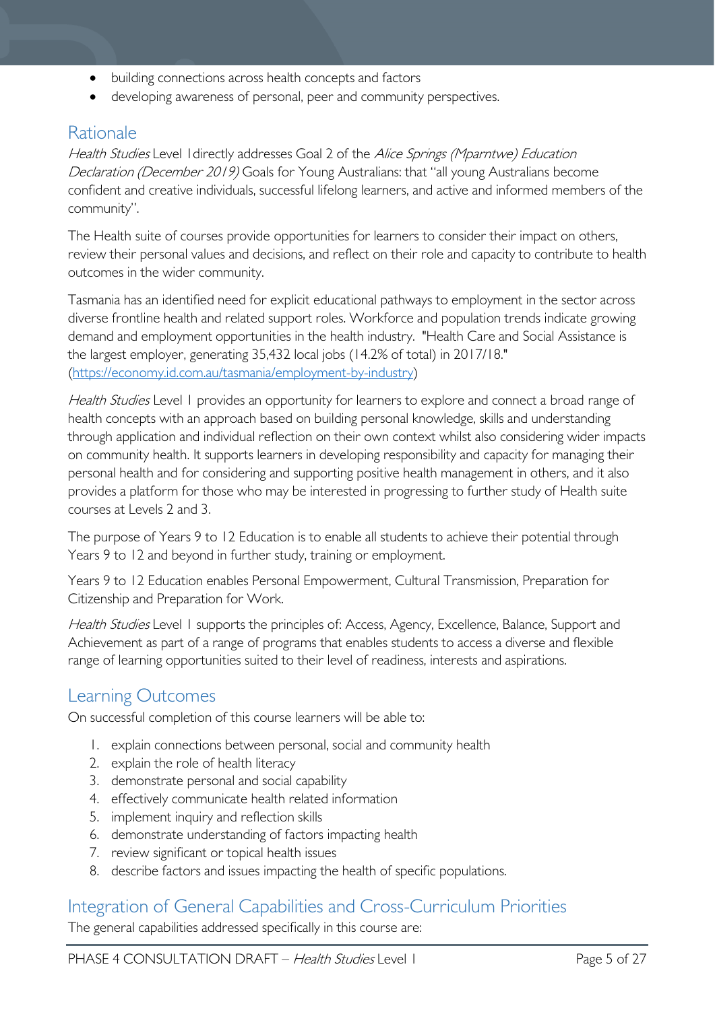- building connections across health concepts and factors
- developing awareness of personal, peer and community perspectives.

# <span id="page-4-0"></span>Rationale

Health Studies Level I directly addresses Goal 2 of the Alice Springs (Mparntwe) Education Declaration (December 2019) Goals for Young Australians: that "all young Australians become confident and creative individuals, successful lifelong learners, and active and informed members of the community".

The Health suite of courses provide opportunities for learners to consider their impact on others, review their personal values and decisions, and reflect on their role and capacity to contribute to health outcomes in the wider community.

Tasmania has an identified need for explicit educational pathways to employment in the sector across diverse frontline health and related support roles. Workforce and population trends indicate growing demand and employment opportunities in the health industry. "Health Care and Social Assistance is the largest employer, generating 35,432 local jobs (14.2% of total) in 2017/18." [\(https://economy.id.com.au/tasmania/employment-by-industry\)](https://economy.id.com.au/tasmania/employment-by-industry)

Health Studies Level 1 provides an opportunity for learners to explore and connect a broad range of health concepts with an approach based on building personal knowledge, skills and understanding through application and individual reflection on their own context whilst also considering wider impacts on community health. It supports learners in developing responsibility and capacity for managing their personal health and for considering and supporting positive health management in others, and it also provides a platform for those who may be interested in progressing to further study of Health suite courses at Levels 2 and 3.

The purpose of Years 9 to 12 Education is to enable all students to achieve their potential through Years 9 to 12 and beyond in further study, training or employment.

Years 9 to 12 Education enables Personal Empowerment, Cultural Transmission, Preparation for Citizenship and Preparation for Work.

Health Studies Level 1 supports the principles of: Access, Agency, Excellence, Balance, Support and Achievement as part of a range of programs that enables students to access a diverse and flexible range of learning opportunities suited to their level of readiness, interests and aspirations.

# <span id="page-4-1"></span>Learning Outcomes

On successful completion of this course learners will be able to:

- 1. explain connections between personal, social and community health
- 2. explain the role of health literacy
- 3. demonstrate personal and social capability
- 4. effectively communicate health related information
- 5. implement inquiry and reflection skills
- 6. demonstrate understanding of factors impacting health
- 7. review significant or topical health issues
- 8. describe factors and issues impacting the health of specific populations.

# <span id="page-4-2"></span>Integration of General Capabilities and Cross-Curriculum Priorities

The general capabilities addressed specifically in this course are: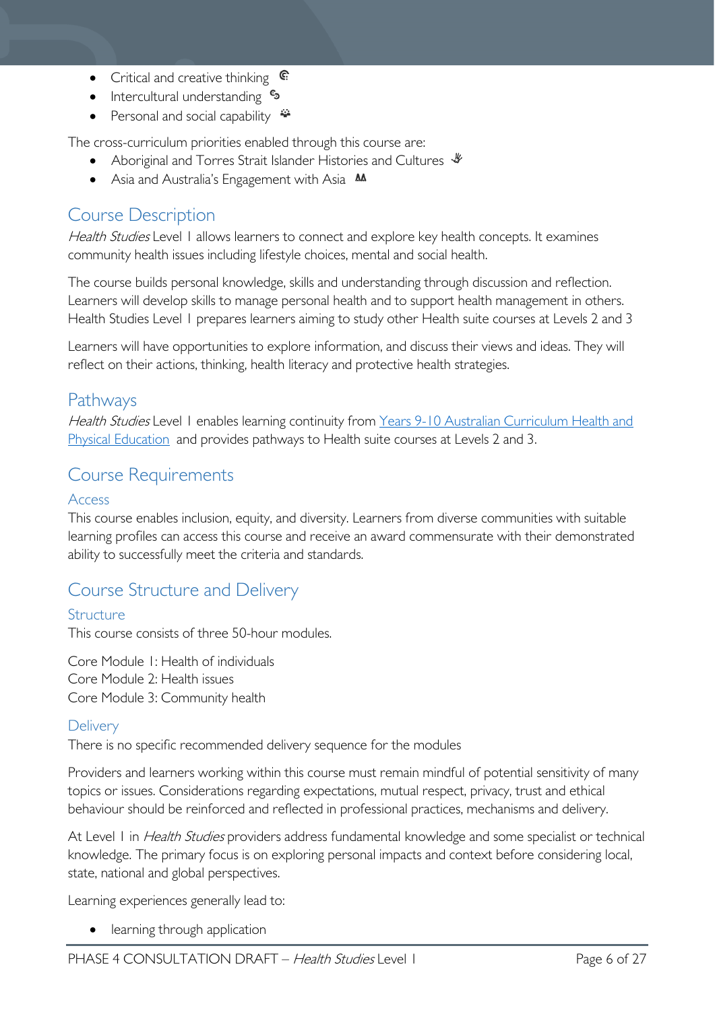- Critical and creative thinking  $\mathbb{C}$
- Intercultural understanding •
- Personal and social capability  $\ddot{\bullet}$

The cross-curriculum priorities enabled through this course are:

- Aboriginal and Torres Strait Islander Histories and Cultures  $\mathcal$
- Asia and Australia's Engagement with Asia **M**

# <span id="page-5-0"></span>Course Description

Health Studies Level 1 allows learners to connect and explore key health concepts. It examines community health issues including lifestyle choices, mental and social health.

The course builds personal knowledge, skills and understanding through discussion and reflection. Learners will develop skills to manage personal health and to support health management in others. Health Studies Level 1 prepares learners aiming to study other Health suite courses at Levels 2 and 3

Learners will have opportunities to explore information, and discuss their views and ideas. They will reflect on their actions, thinking, health literacy and protective health strategies.

# <span id="page-5-1"></span>Pathways

Health Studies Level 1 enables learning continuity from Years 9-10 Australian Curriculum Health and [Physical Education](https://www.australiancurriculum.edu.au/f-10-curriculum/health-and-physical-education/) and provides pathways to Health suite courses at Levels 2 and 3.

# <span id="page-5-2"></span>Course Requirements

### <span id="page-5-3"></span>Access

This course enables inclusion, equity, and diversity. Learners from diverse communities with suitable learning profiles can access this course and receive an award commensurate with their demonstrated ability to successfully meet the criteria and standards.

# <span id="page-5-4"></span>Course Structure and Delivery

## <span id="page-5-5"></span>**Structure**

This course consists of three 50-hour modules.

Core Module 1: Health of individuals Core Module 2: Health issues Core Module 3: Community health

## <span id="page-5-6"></span>**Delivery**

There is no specific recommended delivery sequence for the modules

Providers and learners working within this course must remain mindful of potential sensitivity of many topics or issues. Considerations regarding expectations, mutual respect, privacy, trust and ethical behaviour should be reinforced and reflected in professional practices, mechanisms and delivery.

At Level 1 in *Health Studies* providers address fundamental knowledge and some specialist or technical knowledge. The primary focus is on exploring personal impacts and context before considering local, state, national and global perspectives.

Learning experiences generally lead to:

• learning through application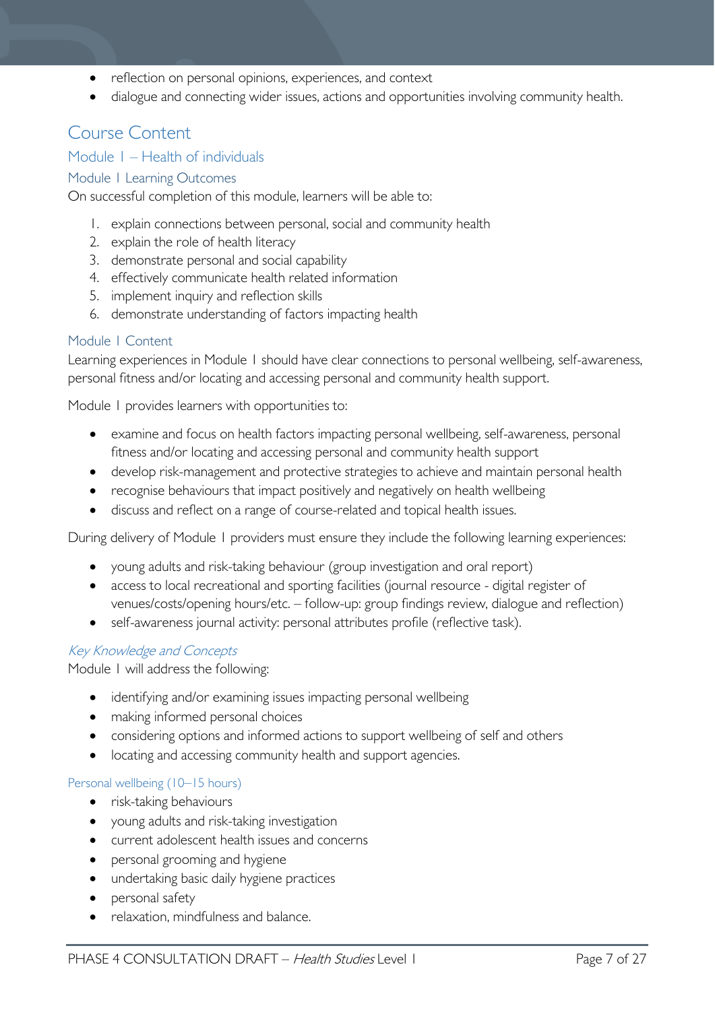- reflection on personal opinions, experiences, and context
- dialogue and connecting wider issues, actions and opportunities involving community health.

# <span id="page-6-0"></span>Course Content

### <span id="page-6-1"></span>Module 1 – Health of individuals

### <span id="page-6-2"></span>Module 1 Learning Outcomes

On successful completion of this module, learners will be able to:

- 1. explain connections between personal, social and community health
- 2. explain the role of health literacy
- 3. demonstrate personal and social capability
- 4. effectively communicate health related information
- 5. implement inquiry and reflection skills
- 6. demonstrate understanding of factors impacting health

#### <span id="page-6-3"></span>Module 1 Content

Learning experiences in Module 1 should have clear connections to personal wellbeing, self-awareness, personal fitness and/or locating and accessing personal and community health support.

Module 1 provides learners with opportunities to:

- examine and focus on health factors impacting personal wellbeing, self-awareness, personal fitness and/or locating and accessing personal and community health support
- develop risk-management and protective strategies to achieve and maintain personal health
- recognise behaviours that impact positively and negatively on health wellbeing
- discuss and reflect on a range of course-related and topical health issues.

During delivery of Module 1 providers must ensure they include the following learning experiences:

- young adults and risk-taking behaviour (group investigation and oral report)
- access to local recreational and sporting facilities (journal resource digital register of venues/costs/opening hours/etc. – follow-up: group findings review, dialogue and reflection)
- self-awareness journal activity: personal attributes profile (reflective task).

### Key Knowledge and Concepts

Module 1 will address the following:

- identifying and/or examining issues impacting personal wellbeing
- making informed personal choices
- considering options and informed actions to support wellbeing of self and others
- locating and accessing community health and support agencies.

#### Personal wellbeing (10–15 hours)

- risk-taking behaviours
- young adults and risk-taking investigation
- current adolescent health issues and concerns
- personal grooming and hygiene
- undertaking basic daily hygiene practices
- personal safety
- relaxation, mindfulness and balance.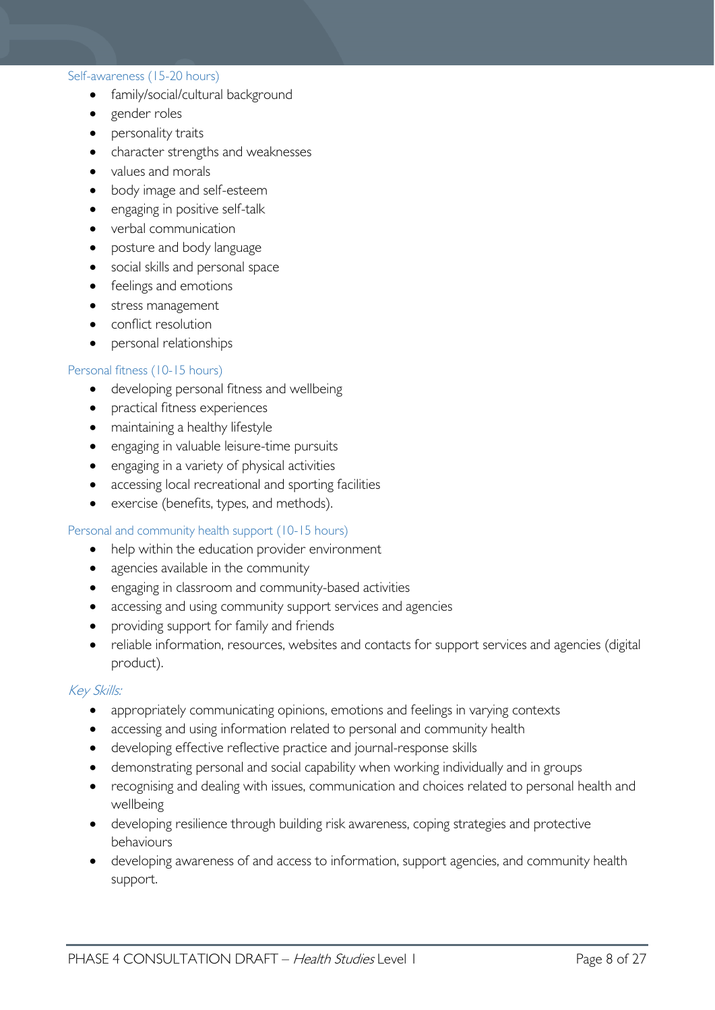#### Self-awareness (15-20 hours)

- family/social/cultural background
- gender roles
- personality traits
- character strengths and weaknesses
- values and morals
- body image and self-esteem
- engaging in positive self-talk
- verbal communication
- posture and body language
- social skills and personal space
- feelings and emotions
- stress management
- conflict resolution
- personal relationships

#### Personal fitness (10-15 hours)

- developing personal fitness and wellbeing
- practical fitness experiences
- maintaining a healthy lifestyle
- engaging in valuable leisure-time pursuits
- engaging in a variety of physical activities
- accessing local recreational and sporting facilities
- exercise (benefits, types, and methods).

#### Personal and community health support (10-15 hours)

- help within the education provider environment
- agencies available in the community
- engaging in classroom and community-based activities
- accessing and using community support services and agencies
- providing support for family and friends
- reliable information, resources, websites and contacts for support services and agencies (digital product).

#### Key Skills:

- appropriately communicating opinions, emotions and feelings in varying contexts
- accessing and using information related to personal and community health
- developing effective reflective practice and journal-response skills
- demonstrating personal and social capability when working individually and in groups
- recognising and dealing with issues, communication and choices related to personal health and wellbeing
- developing resilience through building risk awareness, coping strategies and protective behaviours
- developing awareness of and access to information, support agencies, and community health support.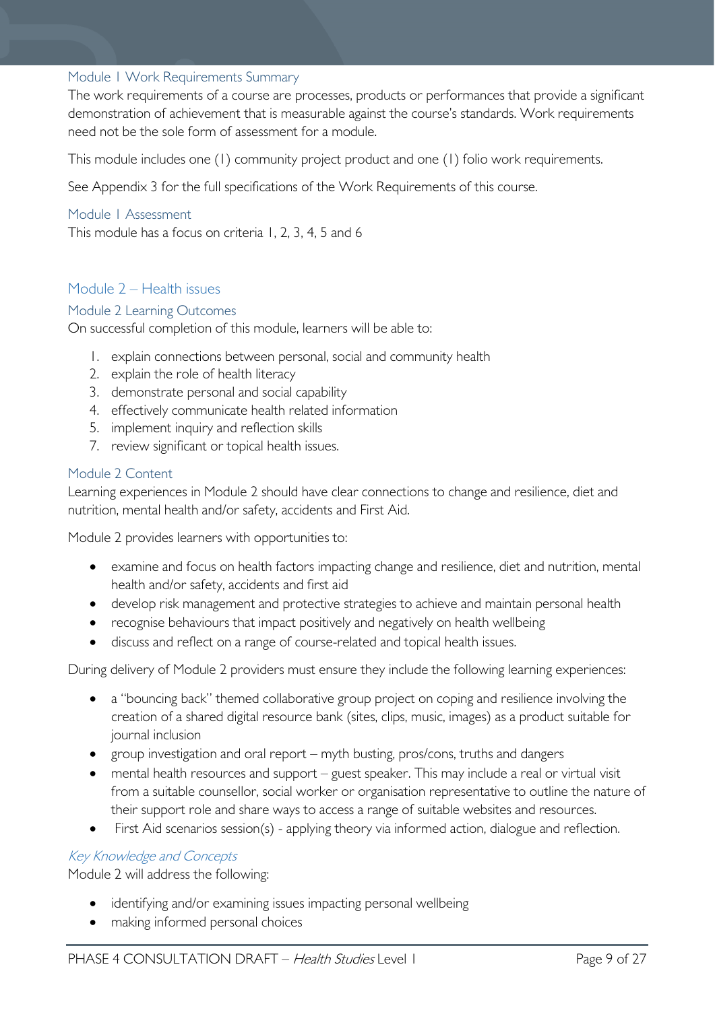### <span id="page-8-0"></span>Module 1 Work Requirements Summary

The work requirements of a course are processes, products or performances that provide a significant demonstration of achievement that is measurable against the course's standards. Work requirements need not be the sole form of assessment for a module.

This module includes one (1) community project product and one (1) folio work requirements.

See Appendix 3 for the full specifications of the Work Requirements of this course.

### <span id="page-8-1"></span>Module 1 Assessment

This module has a focus on criteria 1, 2, 3, 4, 5 and 6

# <span id="page-8-2"></span>Module 2 – Health issues

### <span id="page-8-3"></span>Module 2 Learning Outcomes

On successful completion of this module, learners will be able to:

- 1. explain connections between personal, social and community health
- 2. explain the role of health literacy
- 3. demonstrate personal and social capability
- 4. effectively communicate health related information
- 5. implement inquiry and reflection skills
- 7. review significant or topical health issues.

### <span id="page-8-4"></span>Module 2 Content

Learning experiences in Module 2 should have clear connections to change and resilience, diet and nutrition, mental health and/or safety, accidents and First Aid.

Module 2 provides learners with opportunities to:

- examine and focus on health factors impacting change and resilience, diet and nutrition, mental health and/or safety, accidents and first aid
- develop risk management and protective strategies to achieve and maintain personal health
- recognise behaviours that impact positively and negatively on health wellbeing
- discuss and reflect on a range of course-related and topical health issues.

During delivery of Module 2 providers must ensure they include the following learning experiences:

- a "bouncing back" themed collaborative group project on coping and resilience involving the creation of a shared digital resource bank (sites, clips, music, images) as a product suitable for journal inclusion
- group investigation and oral report myth busting, pros/cons, truths and dangers
- mental health resources and support guest speaker. This may include a real or virtual visit from a suitable counsellor, social worker or organisation representative to outline the nature of their support role and share ways to access a range of suitable websites and resources.
- First Aid scenarios session(s) applying theory via informed action, dialogue and reflection.

## Key Knowledge and Concepts

Module 2 will address the following:

- identifying and/or examining issues impacting personal wellbeing
- making informed personal choices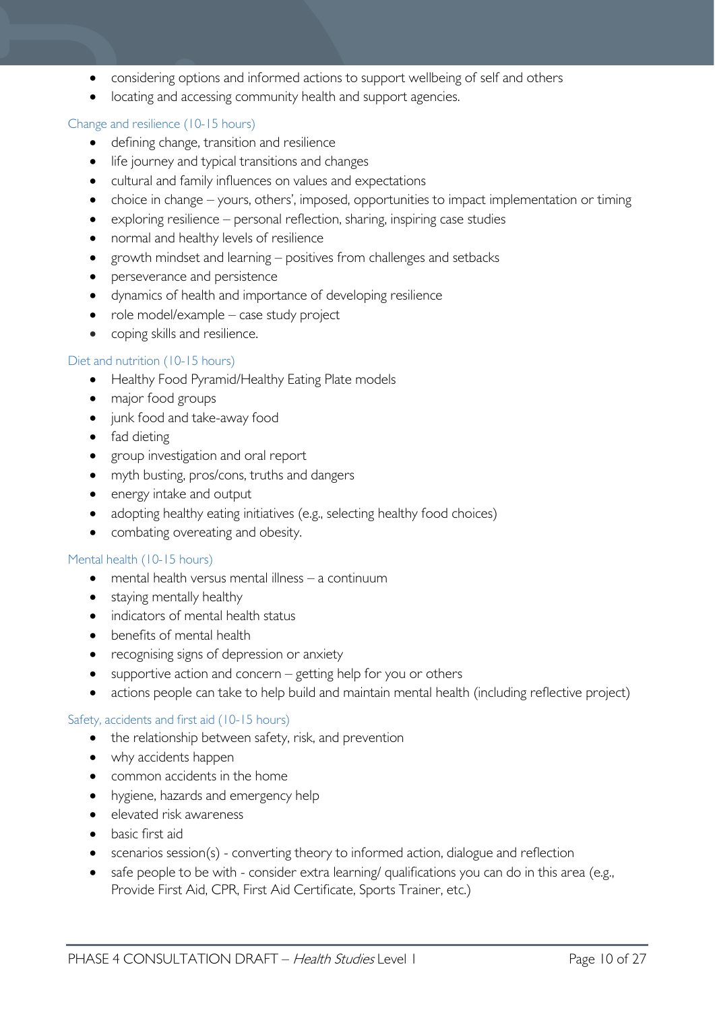- considering options and informed actions to support wellbeing of self and others
- locating and accessing community health and support agencies.

#### Change and resilience (10-15 hours)

- defining change, transition and resilience
- life journey and typical transitions and changes
- cultural and family influences on values and expectations
- choice in change yours, others', imposed, opportunities to impact implementation or timing
- exploring resilience personal reflection, sharing, inspiring case studies
- normal and healthy levels of resilience
- growth mindset and learning positives from challenges and setbacks
- perseverance and persistence
- dynamics of health and importance of developing resilience
- role model/example case study project
- coping skills and resilience.

#### Diet and nutrition (10-15 hours)

- Healthy Food Pyramid/Healthy Eating Plate models
- major food groups
- junk food and take-away food
- fad dieting
- group investigation and oral report
- myth busting, pros/cons, truths and dangers
- energy intake and output
- adopting healthy eating initiatives (e.g., selecting healthy food choices)
- combating overeating and obesity.

#### Mental health (10-15 hours)

- mental health versus mental illness a continuum
- staying mentally healthy
- indicators of mental health status
- benefits of mental health
- recognising signs of depression or anxiety
- supportive action and concern getting help for you or others
- actions people can take to help build and maintain mental health (including reflective project)

#### Safety, accidents and first aid (10-15 hours)

- the relationship between safety, risk, and prevention
- why accidents happen
- common accidents in the home
- hygiene, hazards and emergency help
- elevated risk awareness
- basic first aid
- scenarios session(s) converting theory to informed action, dialogue and reflection
- safe people to be with consider extra learning/ qualifications you can do in this area (e.g., Provide First Aid, CPR, First Aid Certificate, Sports Trainer, etc.)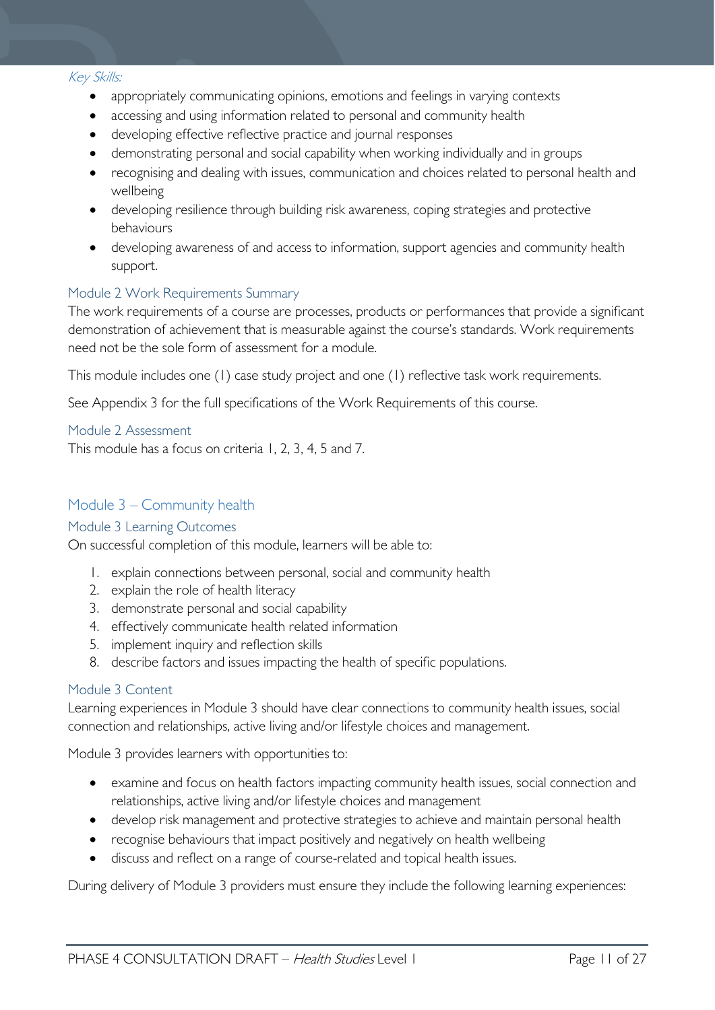#### Key Skills:

- appropriately communicating opinions, emotions and feelings in varying contexts
- accessing and using information related to personal and community health
- developing effective reflective practice and journal responses
- demonstrating personal and social capability when working individually and in groups
- recognising and dealing with issues, communication and choices related to personal health and wellbeing
- developing resilience through building risk awareness, coping strategies and protective behaviours
- developing awareness of and access to information, support agencies and community health support.

#### <span id="page-10-0"></span>Module 2 Work Requirements Summary

The work requirements of a course are processes, products or performances that provide a significant demonstration of achievement that is measurable against the course's standards. Work requirements need not be the sole form of assessment for a module.

This module includes one (1) case study project and one (1) reflective task work requirements.

See Appendix 3 for the full specifications of the Work Requirements of this course.

#### <span id="page-10-1"></span>Module 2 Assessment

This module has a focus on criteria 1, 2, 3, 4, 5 and 7.

### <span id="page-10-2"></span>Module 3 – Community health

#### <span id="page-10-3"></span>Module 3 Learning Outcomes

On successful completion of this module, learners will be able to:

- 1. explain connections between personal, social and community health
- 2. explain the role of health literacy
- 3. demonstrate personal and social capability
- 4. effectively communicate health related information
- 5. implement inquiry and reflection skills
- 8. describe factors and issues impacting the health of specific populations.

#### <span id="page-10-4"></span>Module 3 Content

Learning experiences in Module 3 should have clear connections to community health issues, social connection and relationships, active living and/or lifestyle choices and management.

Module 3 provides learners with opportunities to:

- examine and focus on health factors impacting community health issues, social connection and relationships, active living and/or lifestyle choices and management
- develop risk management and protective strategies to achieve and maintain personal health
- recognise behaviours that impact positively and negatively on health wellbeing
- discuss and reflect on a range of course-related and topical health issues.

During delivery of Module 3 providers must ensure they include the following learning experiences: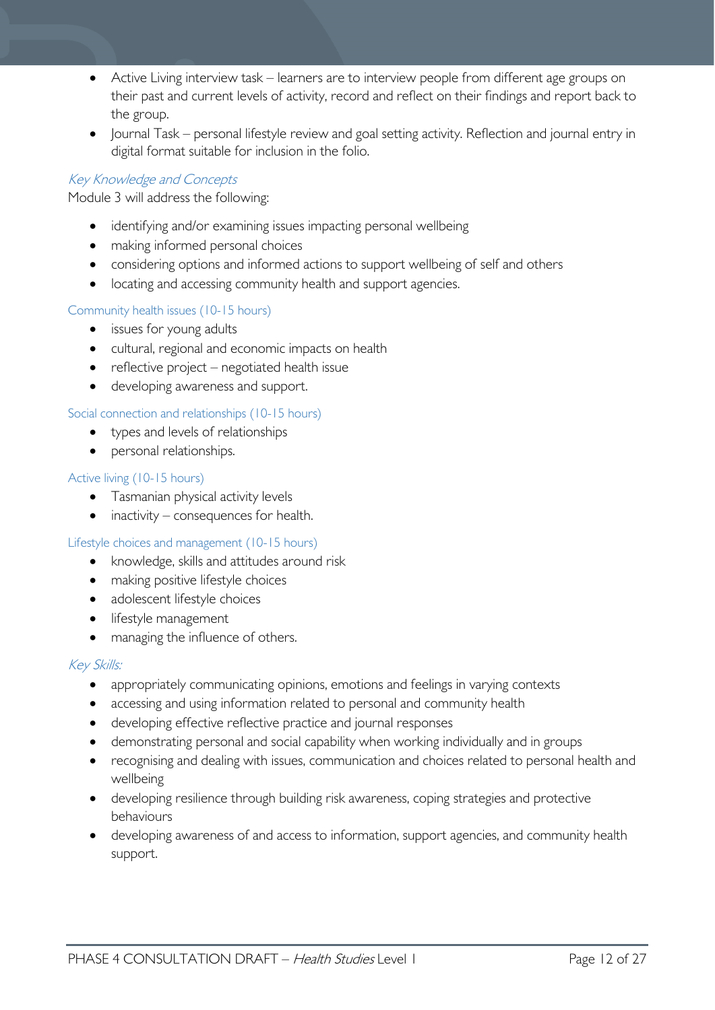- Active Living interview task learners are to interview people from different age groups on their past and current levels of activity, record and reflect on their findings and report back to the group.
- Journal Task personal lifestyle review and goal setting activity. Reflection and journal entry in digital format suitable for inclusion in the folio.

### Key Knowledge and Concepts

Module 3 will address the following:

- identifying and/or examining issues impacting personal wellbeing
- making informed personal choices
- considering options and informed actions to support wellbeing of self and others
- locating and accessing community health and support agencies.

### Community health issues (10-15 hours)

- issues for young adults
- cultural, regional and economic impacts on health
- reflective project negotiated health issue
- developing awareness and support.

### Social connection and relationships (10-15 hours)

- types and levels of relationships
- personal relationships.

### Active living (10-15 hours)

- Tasmanian physical activity levels
- inactivity consequences for health.

### Lifestyle choices and management (10-15 hours)

- knowledge, skills and attitudes around risk
- making positive lifestyle choices
- adolescent lifestyle choices
- lifestyle management
- managing the influence of others.

### Key Skills:

- appropriately communicating opinions, emotions and feelings in varying contexts
- accessing and using information related to personal and community health
- developing effective reflective practice and journal responses
- demonstrating personal and social capability when working individually and in groups
- recognising and dealing with issues, communication and choices related to personal health and wellbeing
- developing resilience through building risk awareness, coping strategies and protective behaviours
- developing awareness of and access to information, support agencies, and community health support.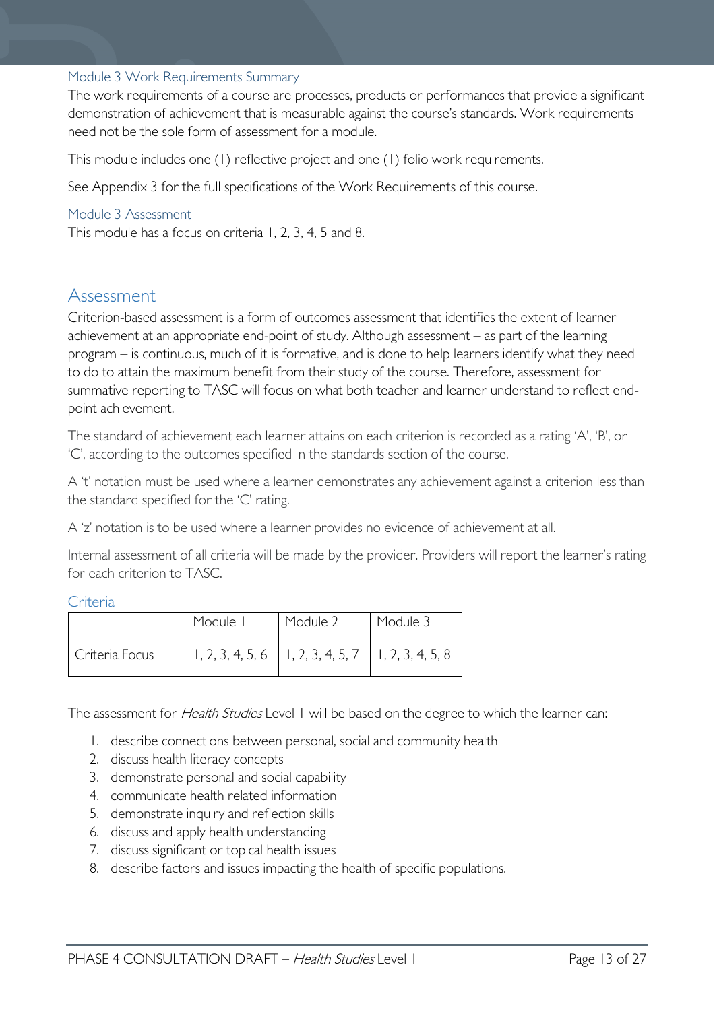### <span id="page-12-0"></span>Module 3 Work Requirements Summary

The work requirements of a course are processes, products or performances that provide a significant demonstration of achievement that is measurable against the course's standards. Work requirements need not be the sole form of assessment for a module.

This module includes one (1) reflective project and one (1) folio work requirements.

See Appendix 3 for the full specifications of the Work Requirements of this course.

#### <span id="page-12-1"></span>Module 3 Assessment

This module has a focus on criteria 1, 2, 3, 4, 5 and 8.

# <span id="page-12-2"></span>Assessment

Criterion-based assessment is a form of outcomes assessment that identifies the extent of learner achievement at an appropriate end-point of study. Although assessment – as part of the learning program – is continuous, much of it is formative, and is done to help learners identify what they need to do to attain the maximum benefit from their study of the course. Therefore, assessment for summative reporting to TASC will focus on what both teacher and learner understand to reflect endpoint achievement.

The standard of achievement each learner attains on each criterion is recorded as a rating 'A', 'B', or 'C', according to the outcomes specified in the standards section of the course.

A 't' notation must be used where a learner demonstrates any achievement against a criterion less than the standard specified for the 'C' rating.

A 'z' notation is to be used where a learner provides no evidence of achievement at all.

Internal assessment of all criteria will be made by the provider. Providers will report the learner's rating for each criterion to TASC.

#### <span id="page-12-3"></span>Criteria

|                | Module I | Module 2                                                 | Module 3 |
|----------------|----------|----------------------------------------------------------|----------|
| Criteria Focus |          | $1, 2, 3, 4, 5, 6$   1, 2, 3, 4, 5, 7   1, 2, 3, 4, 5, 8 |          |

The assessment for *Health Studies* Level 1 will be based on the degree to which the learner can:

- 1. describe connections between personal, social and community health
- 2. discuss health literacy concepts
- 3. demonstrate personal and social capability
- 4. communicate health related information
- 5. demonstrate inquiry and reflection skills
- 6. discuss and apply health understanding
- 7. discuss significant or topical health issues
- 8. describe factors and issues impacting the health of specific populations.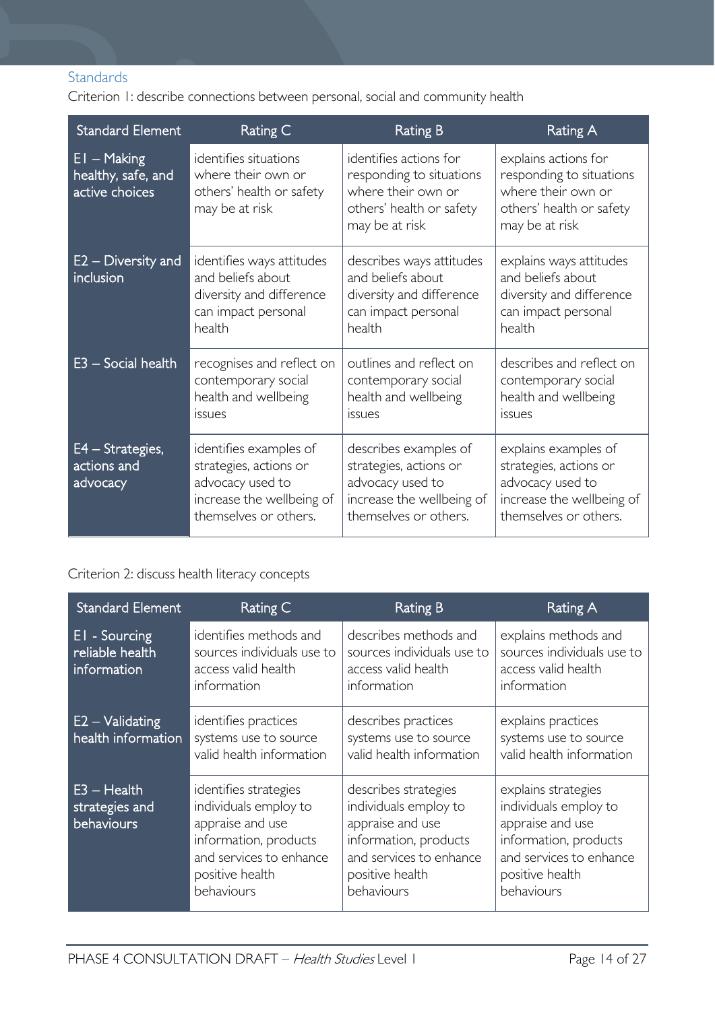# <span id="page-13-0"></span>**Standards**

Criterion 1: describe connections between personal, social and community health

| <b>Standard Element</b>                               | Rating C                                                                                                                   | <b>Rating B</b>                                                                                                           | <b>Rating A</b>                                                                                                          |
|-------------------------------------------------------|----------------------------------------------------------------------------------------------------------------------------|---------------------------------------------------------------------------------------------------------------------------|--------------------------------------------------------------------------------------------------------------------------|
| $EI - Making$<br>healthy, safe, and<br>active choices | identifies situations<br>where their own or<br>others' health or safety<br>may be at risk                                  | identifies actions for<br>responding to situations<br>where their own or<br>others' health or safety<br>may be at risk    | explains actions for<br>responding to situations<br>where their own or<br>others' health or safety<br>may be at risk     |
| E2 – Diversity and<br>inclusion                       | identifies ways attitudes<br>and beliefs about<br>diversity and difference<br>can impact personal<br>health                | describes ways attitudes<br>and beliefs about<br>diversity and difference<br>can impact personal<br>health                | explains ways attitudes<br>and beliefs about<br>diversity and difference<br>can impact personal<br>health                |
| E3 - Social health                                    | recognises and reflect on<br>contemporary social<br>health and wellbeing<br>issues                                         | outlines and reflect on<br>contemporary social<br>health and wellbeing<br><i>issues</i>                                   | describes and reflect on<br>contemporary social<br>health and wellbeing<br><i>issues</i>                                 |
| E4 - Strategies,<br>actions and<br>advocacy           | identifies examples of<br>strategies, actions or<br>advocacy used to<br>increase the wellbeing of<br>themselves or others. | describes examples of<br>strategies, actions or<br>advocacy used to<br>increase the wellbeing of<br>themselves or others. | explains examples of<br>strategies, actions or<br>advocacy used to<br>increase the wellbeing of<br>themselves or others. |

# Criterion 2: discuss health literacy concepts

| <b>Standard Element</b>                         | Rating C                                                                                                                                                | <b>Rating B</b>                                                                                                                                        | Rating A                                                                                                                                              |
|-------------------------------------------------|---------------------------------------------------------------------------------------------------------------------------------------------------------|--------------------------------------------------------------------------------------------------------------------------------------------------------|-------------------------------------------------------------------------------------------------------------------------------------------------------|
| EI - Sourcing<br>reliable health<br>information | identifies methods and<br>sources individuals use to<br>access valid health<br>information                                                              | describes methods and<br>sources individuals use to<br>access valid health<br>information                                                              | explains methods and<br>sources individuals use to<br>access valid health<br>information                                                              |
| $E2 -$ Validating<br>health information         | identifies practices<br>systems use to source<br>valid health information                                                                               | describes practices<br>systems use to source<br>valid health information                                                                               | explains practices<br>systems use to source<br>valid health information                                                                               |
| $E3 - Health$<br>strategies and<br>behaviours   | identifies strategies<br>individuals employ to<br>appraise and use<br>information, products<br>and services to enhance<br>positive health<br>behaviours | describes strategies<br>individuals employ to<br>appraise and use<br>information, products<br>and services to enhance<br>positive health<br>behaviours | explains strategies<br>individuals employ to<br>appraise and use<br>information, products<br>and services to enhance<br>positive health<br>behaviours |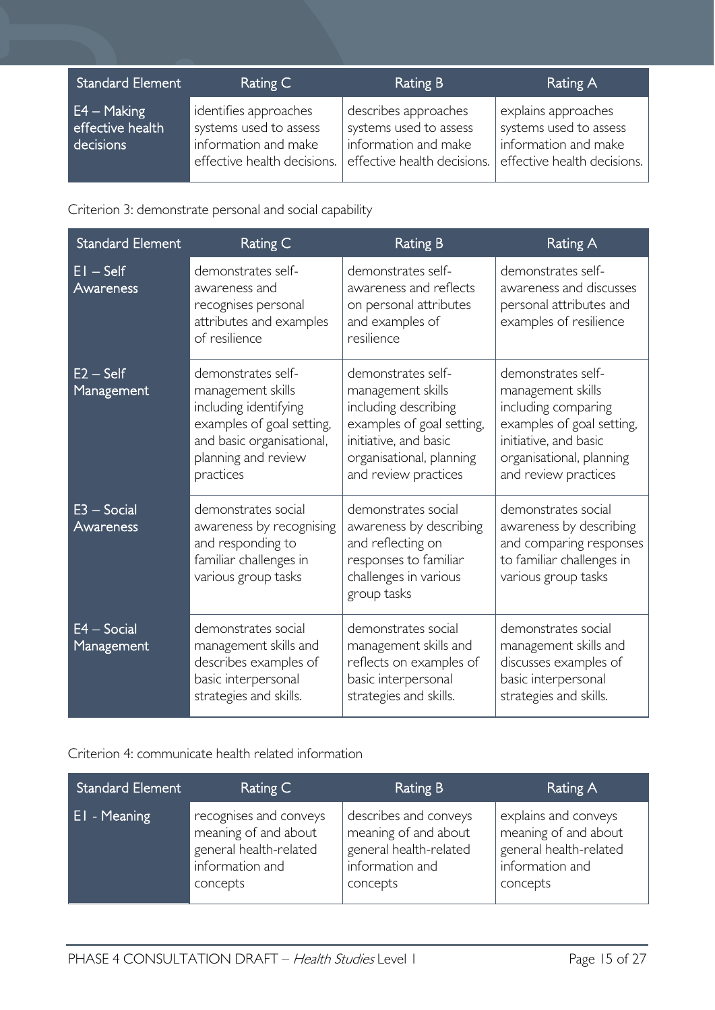| <b>Standard Element</b>                        | Rating C                                                                                               | <b>Rating B</b>                                                                                       | <b>Rating A</b>                                                                                      |
|------------------------------------------------|--------------------------------------------------------------------------------------------------------|-------------------------------------------------------------------------------------------------------|------------------------------------------------------------------------------------------------------|
| $E4 - Making$<br>effective health<br>decisions | identifies approaches<br>systems used to assess<br>information and make<br>effective health decisions. | describes approaches<br>systems used to assess<br>information and make<br>effective health decisions. | explains approaches<br>systems used to assess<br>information and make<br>effective health decisions. |

Criterion 3: demonstrate personal and social capability

| <b>Standard Element</b>     | Rating C                                                                                                                                                       | <b>Rating B</b>                                                                                                                                                           | <b>Rating A</b>                                                                                                                                                          |
|-----------------------------|----------------------------------------------------------------------------------------------------------------------------------------------------------------|---------------------------------------------------------------------------------------------------------------------------------------------------------------------------|--------------------------------------------------------------------------------------------------------------------------------------------------------------------------|
| $EI - Self$<br>Awareness    | demonstrates self-<br>awareness and<br>recognises personal<br>attributes and examples<br>of resilience                                                         | demonstrates self-<br>awareness and reflects<br>on personal attributes<br>and examples of<br>resilience                                                                   | demonstrates self-<br>awareness and discusses<br>personal attributes and<br>examples of resilience                                                                       |
| $E2 - Self$<br>Management   | demonstrates self-<br>management skills<br>including identifying<br>examples of goal setting,<br>and basic organisational,<br>planning and review<br>practices | demonstrates self-<br>management skills<br>including describing<br>examples of goal setting,<br>initiative, and basic<br>organisational, planning<br>and review practices | demonstrates self-<br>management skills<br>including comparing<br>examples of goal setting,<br>initiative, and basic<br>organisational, planning<br>and review practices |
| $E3 - Social$<br>Awareness  | demonstrates social<br>awareness by recognising<br>and responding to<br>familiar challenges in<br>various group tasks                                          | demonstrates social<br>awareness by describing<br>and reflecting on<br>responses to familiar<br>challenges in various<br>group tasks                                      | demonstrates social<br>awareness by describing<br>and comparing responses<br>to familiar challenges in<br>various group tasks                                            |
| $E4 - Social$<br>Management | demonstrates social<br>management skills and<br>describes examples of<br>basic interpersonal<br>strategies and skills.                                         | demonstrates social<br>management skills and<br>reflects on examples of<br>basic interpersonal<br>strategies and skills.                                                  | demonstrates social<br>management skills and<br>discusses examples of<br>basic interpersonal<br>strategies and skills.                                                   |

Criterion 4: communicate health related information

| <b>Standard Element</b> | Rating C               | Rating B               | Rating A               |
|-------------------------|------------------------|------------------------|------------------------|
| EI - Meaning            | recognises and conveys | describes and conveys  | explains and conveys   |
|                         | meaning of and about   | meaning of and about   | meaning of and about   |
|                         | general health-related | general health-related | general health-related |
|                         | information and        | information and        | information and        |
|                         | concepts               | concepts               | concepts               |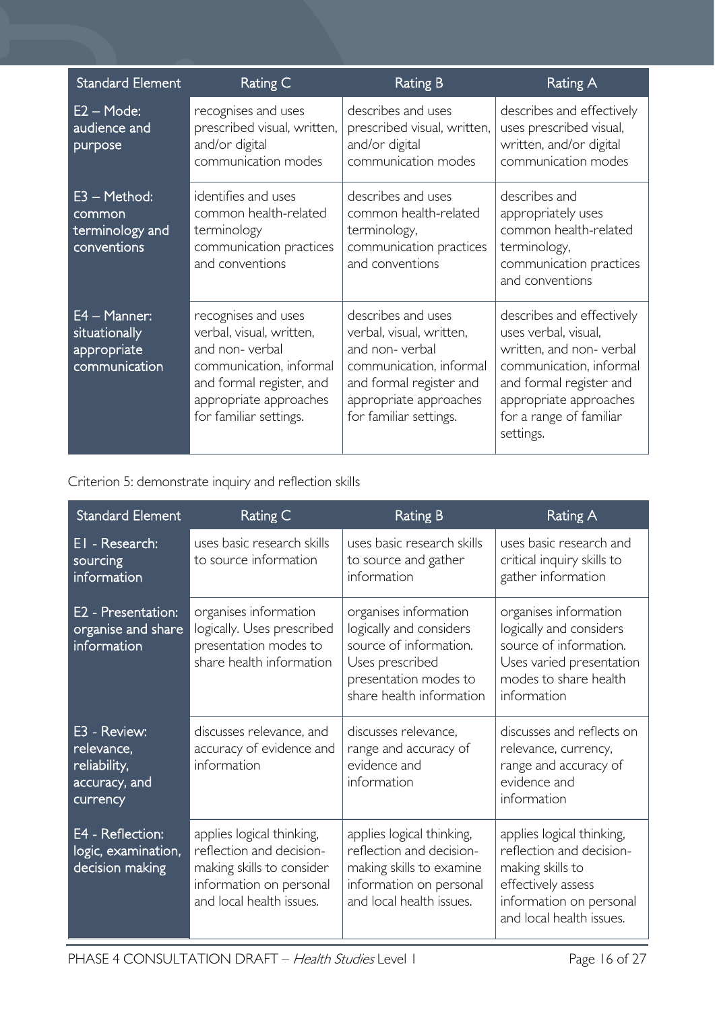| <b>Standard Element</b>                                          | Rating C                                                                                                                                                                     | <b>Rating B</b>                                                                                                                                                            | Rating A                                                                                                                                                                                             |
|------------------------------------------------------------------|------------------------------------------------------------------------------------------------------------------------------------------------------------------------------|----------------------------------------------------------------------------------------------------------------------------------------------------------------------------|------------------------------------------------------------------------------------------------------------------------------------------------------------------------------------------------------|
| $E2 - Mode:$<br>audience and<br>purpose                          | recognises and uses<br>prescribed visual, written,<br>and/or digital<br>communication modes                                                                                  | describes and uses<br>prescribed visual, written,<br>and/or digital<br>communication modes                                                                                 | describes and effectively<br>uses prescribed visual,<br>written, and/or digital<br>communication modes                                                                                               |
| $E3 - Method:$<br>common<br>terminology and<br>conventions       | identifies and uses<br>common health-related<br>terminology<br>communication practices<br>and conventions                                                                    | describes and uses<br>common health-related<br>terminology,<br>communication practices<br>and conventions                                                                  | describes and<br>appropriately uses<br>common health-related<br>terminology,<br>communication practices<br>and conventions                                                                           |
| $E4 - Manner$ :<br>situationally<br>appropriate<br>communication | recognises and uses<br>verbal, visual, written,<br>and non-verbal<br>communication, informal<br>and formal register, and<br>appropriate approaches<br>for familiar settings. | describes and uses<br>verbal, visual, written,<br>and non-verbal<br>communication, informal<br>and formal register and<br>appropriate approaches<br>for familiar settings. | describes and effectively<br>uses verbal, visual,<br>written, and non-verbal<br>communication, informal<br>and formal register and<br>appropriate approaches<br>for a range of familiar<br>settings. |

Criterion 5: demonstrate inquiry and reflection skills

| <b>Standard Element</b>                                                 | Rating C                                                                                                                                  | <b>Rating B</b>                                                                                                                                    | Rating A                                                                                                                                               |
|-------------------------------------------------------------------------|-------------------------------------------------------------------------------------------------------------------------------------------|----------------------------------------------------------------------------------------------------------------------------------------------------|--------------------------------------------------------------------------------------------------------------------------------------------------------|
| EI - Research:<br>sourcing<br>information                               | uses basic research skills<br>to source information                                                                                       | uses basic research skills<br>to source and gather<br>information                                                                                  | uses basic research and<br>critical inquiry skills to<br>gather information                                                                            |
| E2 - Presentation:<br>organise and share<br>information                 | organises information<br>logically. Uses prescribed<br>presentation modes to<br>share health information                                  | organises information<br>logically and considers<br>source of information.<br>Uses prescribed<br>presentation modes to<br>share health information | organises information<br>logically and considers<br>source of information.<br>Uses varied presentation<br>modes to share health<br>information         |
| E3 - Review:<br>relevance,<br>reliability,<br>accuracy, and<br>currency | discusses relevance, and<br>accuracy of evidence and<br>information                                                                       | discusses relevance.<br>range and accuracy of<br>evidence and<br>information                                                                       | discusses and reflects on<br>relevance, currency,<br>range and accuracy of<br>evidence and<br>information                                              |
| E4 - Reflection:<br>logic, examination,<br>decision making              | applies logical thinking,<br>reflection and decision-<br>making skills to consider<br>information on personal<br>and local health issues. | applies logical thinking,<br>reflection and decision-<br>making skills to examine<br>information on personal<br>and local health issues.           | applies logical thinking,<br>reflection and decision-<br>making skills to<br>effectively assess<br>information on personal<br>and local health issues. |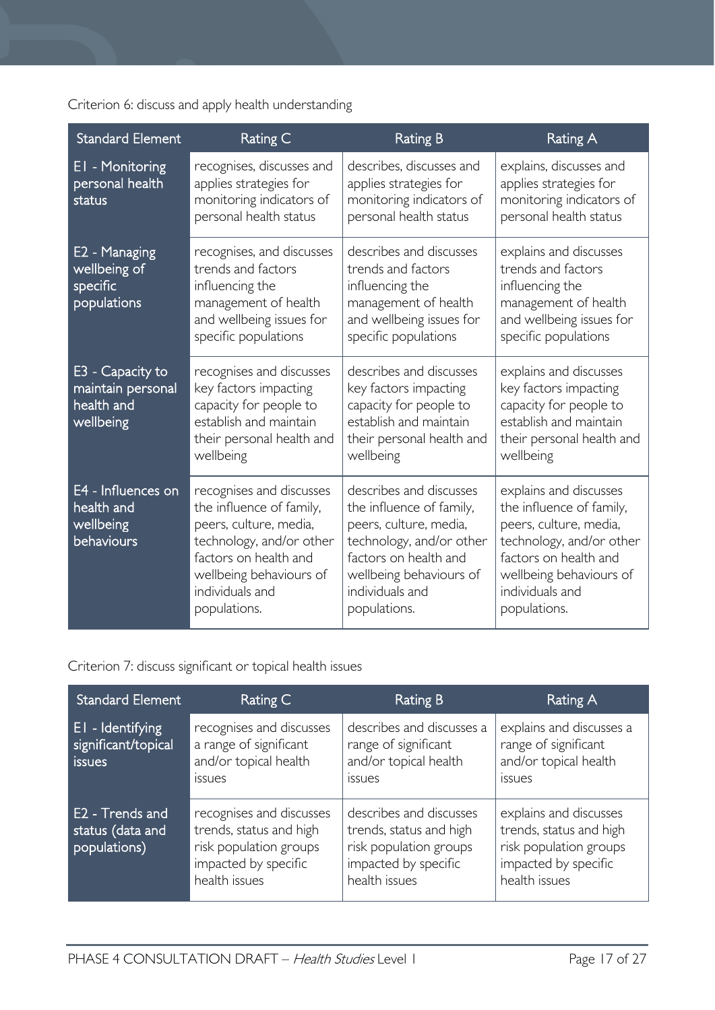Criterion 6: discuss and apply health understanding

| <b>Standard Element</b>                                          | Rating C                                                                                                                                                                                          | <b>Rating B</b>                                                                                                                                                                                  | Rating A                                                                                                                                                                                        |
|------------------------------------------------------------------|---------------------------------------------------------------------------------------------------------------------------------------------------------------------------------------------------|--------------------------------------------------------------------------------------------------------------------------------------------------------------------------------------------------|-------------------------------------------------------------------------------------------------------------------------------------------------------------------------------------------------|
| EI - Monitoring<br>personal health<br>status                     | recognises, discusses and<br>applies strategies for<br>monitoring indicators of<br>personal health status                                                                                         | describes, discusses and<br>applies strategies for<br>monitoring indicators of<br>personal health status                                                                                         | explains, discusses and<br>applies strategies for<br>monitoring indicators of<br>personal health status                                                                                         |
| E2 - Managing<br>wellbeing of<br>specific<br>populations         | recognises, and discusses<br>trends and factors<br>influencing the<br>management of health<br>and wellbeing issues for<br>specific populations                                                    | describes and discusses<br>trends and factors<br>influencing the<br>management of health<br>and wellbeing issues for<br>specific populations                                                     | explains and discusses<br>trends and factors<br>influencing the<br>management of health<br>and wellbeing issues for<br>specific populations                                                     |
| E3 - Capacity to<br>maintain personal<br>health and<br>wellbeing | recognises and discusses<br>key factors impacting<br>capacity for people to<br>establish and maintain<br>their personal health and<br>wellbeing                                                   | describes and discusses<br>key factors impacting<br>capacity for people to<br>establish and maintain<br>their personal health and<br>wellbeing                                                   | explains and discusses<br>key factors impacting<br>capacity for people to<br>establish and maintain<br>their personal health and<br>wellbeing                                                   |
| E4 - Influences on<br>health and<br>wellbeing<br>behaviours      | recognises and discusses<br>the influence of family,<br>peers, culture, media,<br>technology, and/or other<br>factors on health and<br>wellbeing behaviours of<br>individuals and<br>populations. | describes and discusses<br>the influence of family,<br>peers, culture, media,<br>technology, and/or other<br>factors on health and<br>wellbeing behaviours of<br>individuals and<br>populations. | explains and discusses<br>the influence of family,<br>peers, culture, media,<br>technology, and/or other<br>factors on health and<br>wellbeing behaviours of<br>individuals and<br>populations. |

Criterion 7: discuss significant or topical health issues

| Standard Element                                         | Rating C                                                                                                               | Rating B                                                                                                              | Rating A                                                                                                             |
|----------------------------------------------------------|------------------------------------------------------------------------------------------------------------------------|-----------------------------------------------------------------------------------------------------------------------|----------------------------------------------------------------------------------------------------------------------|
| <b>El</b> - Identifying<br>significant/topical<br>issues | recognises and discusses<br>a range of significant<br>and/or topical health<br>issues                                  | describes and discusses a<br>range of significant<br>and/or topical health<br><i>issues</i>                           | explains and discusses a<br>range of significant<br>and/or topical health<br><i>issues</i>                           |
| E2 - Trends and<br>status (data and<br>populations)      | recognises and discusses<br>trends, status and high<br>risk population groups<br>impacted by specific<br>health issues | describes and discusses<br>trends, status and high<br>risk population groups<br>impacted by specific<br>health issues | explains and discusses<br>trends, status and high<br>risk population groups<br>impacted by specific<br>health issues |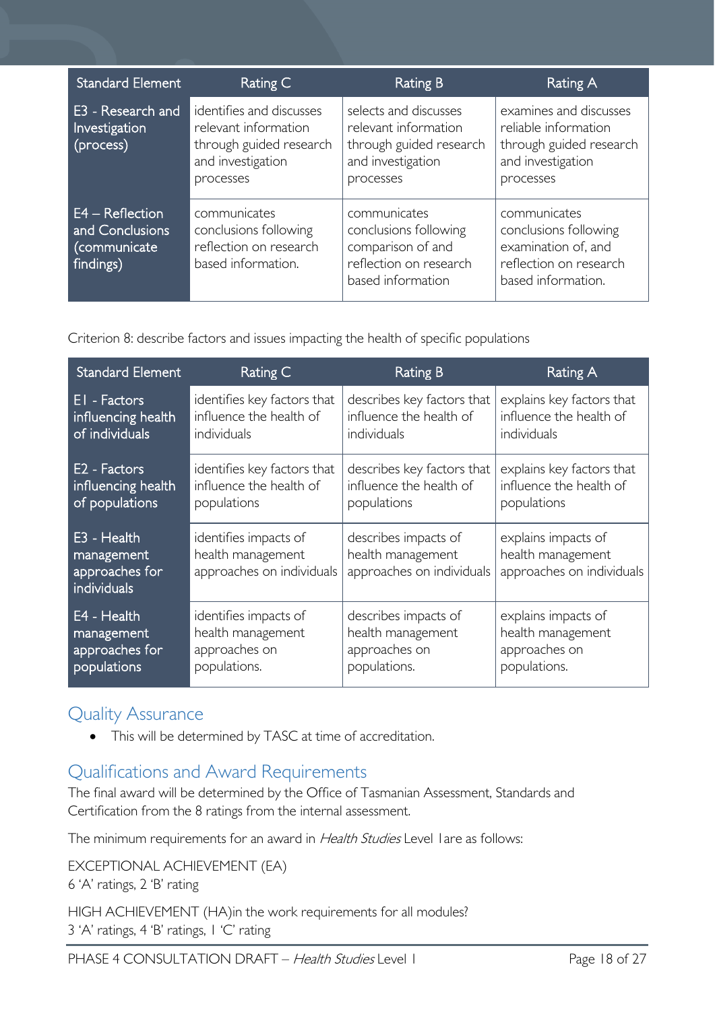| <b>Standard Element</b>                                           | Rating C                                                                                                      | <b>Rating B</b>                                                                                            | Rating A                                                                                                     |
|-------------------------------------------------------------------|---------------------------------------------------------------------------------------------------------------|------------------------------------------------------------------------------------------------------------|--------------------------------------------------------------------------------------------------------------|
| E3 - Research and<br>Investigation<br>(process)                   | identifies and discusses<br>relevant information<br>through guided research<br>and investigation<br>processes | selects and discusses<br>relevant information<br>through guided research<br>and investigation<br>processes | examines and discusses<br>reliable information<br>through guided research<br>and investigation<br>processes  |
| $E4 - Reflection$<br>and Conclusions<br>(communicate<br>findings) | communicates<br>conclusions following<br>reflection on research<br>based information.                         | communicates<br>conclusions following<br>comparison of and<br>reflection on research<br>based information  | communicates<br>conclusions following<br>examination of, and<br>reflection on research<br>based information. |

Criterion 8: describe factors and issues impacting the health of specific populations

| <b>Standard Element</b>                                    | Rating C                                                                | <b>Rating B</b>                                                        | Rating A                                                              |
|------------------------------------------------------------|-------------------------------------------------------------------------|------------------------------------------------------------------------|-----------------------------------------------------------------------|
| EI - Factors                                               | identifies key factors that                                             | describes key factors that                                             | explains key factors that                                             |
| influencing health                                         | influence the health of                                                 | influence the health of                                                | influence the health of                                               |
| of individuals                                             | individuals                                                             | individuals                                                            | individuals                                                           |
| E <sub>2</sub> - Factors                                   | identifies key factors that                                             | describes key factors that                                             | explains key factors that                                             |
| influencing health                                         | influence the health of                                                 | influence the health of                                                | influence the health of                                               |
| of populations                                             | populations                                                             | populations                                                            | populations                                                           |
| E3 - Health<br>management<br>approaches for<br>individuals | identifies impacts of<br>health management<br>approaches on individuals | describes impacts of<br>health management<br>approaches on individuals | explains impacts of<br>health management<br>approaches on individuals |
| E4 - Health                                                | identifies impacts of                                                   | describes impacts of                                                   | explains impacts of                                                   |
| management                                                 | health management                                                       | health management                                                      | health management                                                     |
| approaches for                                             | approaches on                                                           | approaches on                                                          | approaches on                                                         |
| populations                                                | populations.                                                            | populations.                                                           | populations.                                                          |

# <span id="page-17-0"></span>Quality Assurance

• This will be determined by TASC at time of accreditation.

# <span id="page-17-1"></span>Qualifications and Award Requirements

The final award will be determined by the Office of Tasmanian Assessment, Standards and Certification from the 8 ratings from the internal assessment.

The minimum requirements for an award in Health Studies Level I are as follows:

EXCEPTIONAL ACHIEVEMENT (EA) 6 'A' ratings, 2 'B' rating HIGH ACHIEVEMENT (HA)in the work requirements for all modules? 3 'A' ratings, 4 'B' ratings, 1 'C' rating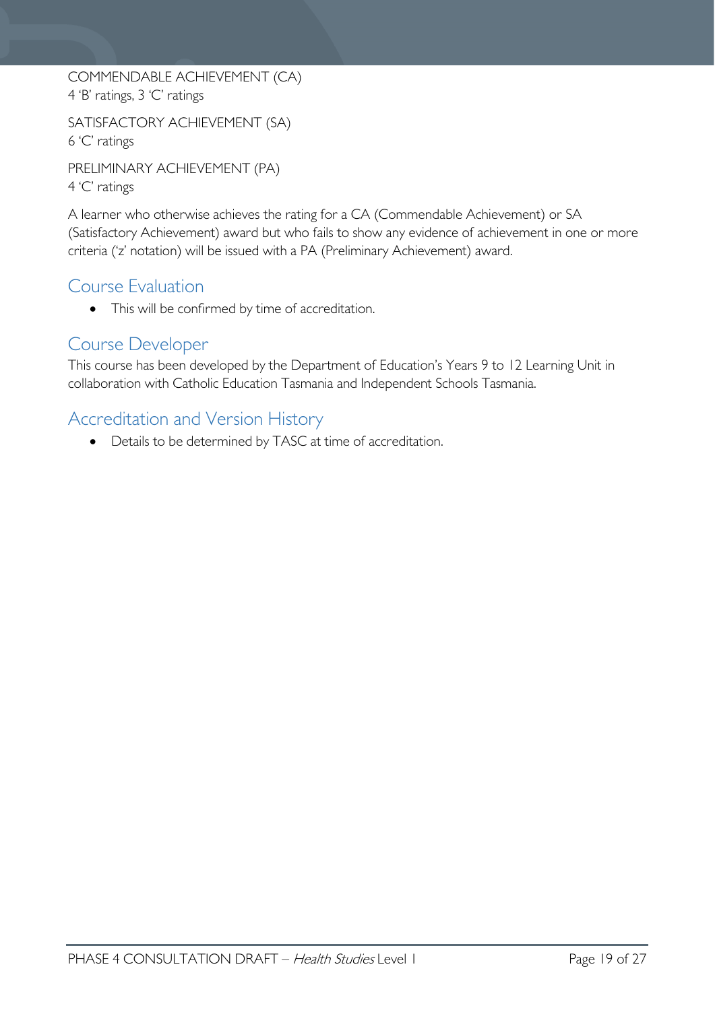COMMENDABLE ACHIEVEMENT (CA) 4 'B' ratings, 3 'C' ratings

SATISFACTORY ACHIEVEMENT (SA) 6 'C' ratings

PRELIMINARY ACHIEVEMENT (PA) 4 'C' ratings

A learner who otherwise achieves the rating for a CA (Commendable Achievement) or SA (Satisfactory Achievement) award but who fails to show any evidence of achievement in one or more criteria ('z' notation) will be issued with a PA (Preliminary Achievement) award.

# <span id="page-18-0"></span>Course Evaluation

• This will be confirmed by time of accreditation.

# <span id="page-18-1"></span>Course Developer

This course has been developed by the Department of Education's Years 9 to 12 Learning Unit in collaboration with Catholic Education Tasmania and Independent Schools Tasmania.

# <span id="page-18-2"></span>Accreditation and Version History

• Details to be determined by TASC at time of accreditation.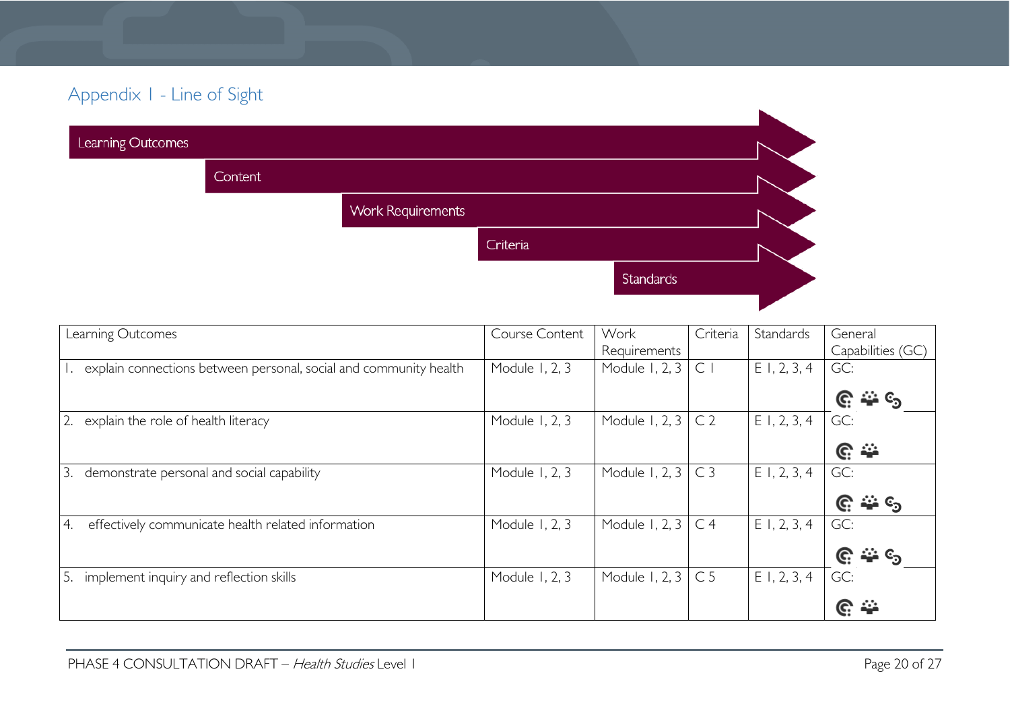# Appendix 1 - Line of Sight

| Learning Outcomes |                |                          |           |  |
|-------------------|----------------|--------------------------|-----------|--|
|                   | <b>Content</b> |                          |           |  |
|                   |                | <b>Work Requirements</b> |           |  |
|                   |                | Criteria                 |           |  |
|                   |                |                          | Standards |  |
|                   |                |                          |           |  |

<span id="page-19-0"></span>

| Learning Outcomes                                                 | Course Content | Work                      | Criteria       | Standards      | General            |
|-------------------------------------------------------------------|----------------|---------------------------|----------------|----------------|--------------------|
|                                                                   |                | Requirements              |                |                | Capabilities (GC)  |
| explain connections between personal, social and community health | Module 1, 2, 3 | Module 1, 2, 3            | $\subset$      | $E$ 1, 2, 3, 4 | GC:                |
|                                                                   |                |                           |                |                | —ు ్య<br>G         |
| 2.<br>explain the role of health literacy                         | Module 1, 2, 3 | Module 1, 2, $3 \mid C2$  |                | $E$ 1, 2, 3, 4 | GC:                |
|                                                                   |                |                           |                |                | $\mathbb{C} \cong$ |
| 3.<br>demonstrate personal and social capability                  | Module 1, 2, 3 | Module 1, 2, $3 \mid C3$  |                | E1, 2, 3, 4    | GC:                |
|                                                                   |                |                           |                |                | <u>మ</u> ం<br>G.   |
| effectively communicate health related information<br>4.          | Module 1, 2, 3 | Module 1, 2, 3            | C <sub>4</sub> | $E$ 1, 2, 3, 4 | GC:                |
|                                                                   |                |                           |                |                | చి ్య<br>G.        |
| implement inquiry and reflection skills<br>5.                     | Module 1, 2, 3 | Module 1, 2, 3 $\mid$ C 5 |                | E1, 2, 3, 4    | GC:                |
|                                                                   |                |                           |                |                | ÷÷<br>G.           |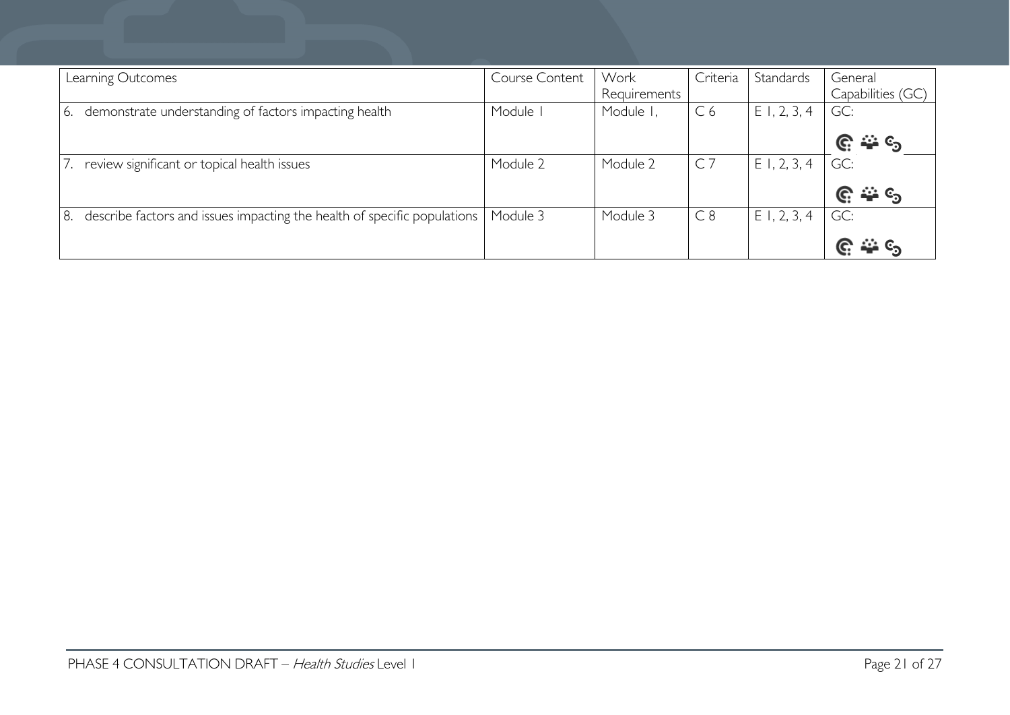| Learning Outcomes |                                                                          | Course Content | Work<br>Requirements | Criteria       | Standards      | General<br>Capabilities (GC) |
|-------------------|--------------------------------------------------------------------------|----------------|----------------------|----------------|----------------|------------------------------|
| <u>6.</u>         | demonstrate understanding of factors impacting health                    | Module I       | Module I,            | C <sub>6</sub> | E1, 2, 3, 4    | GC:                          |
|                   |                                                                          |                |                      |                |                |                              |
|                   | review significant or topical health issues                              | Module 2       | Module 2             | C              | $E$ 1, 2, 3, 4 | GC:                          |
|                   |                                                                          |                |                      |                |                | —ે ©ે                        |
| 8.                | describe factors and issues impacting the health of specific populations | Module 3       | Module 3             | C8             | $E$ 1, 2, 3, 4 | GC:                          |
|                   |                                                                          |                |                      |                |                |                              |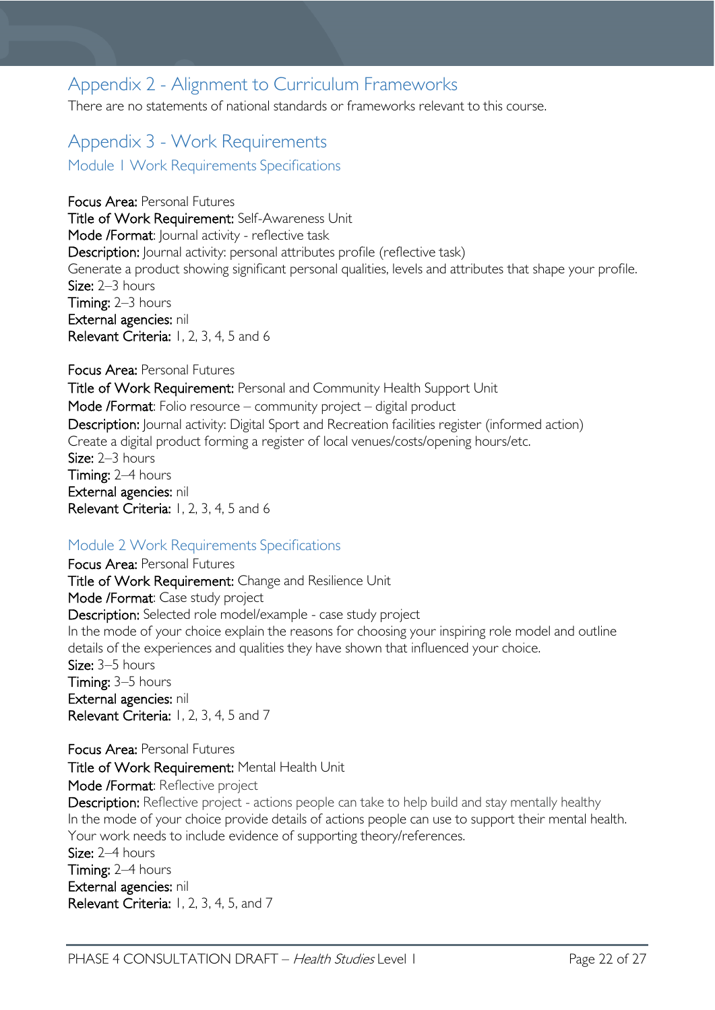# <span id="page-21-0"></span>Appendix 2 - Alignment to Curriculum Frameworks

There are no statements of national standards or frameworks relevant to this course.

# <span id="page-21-2"></span><span id="page-21-1"></span>Appendix 3 - Work Requirements Module 1 Work Requirements Specifications

Focus Area: Personal Futures Title of Work Requirement: Self-Awareness Unit Mode /Format: Journal activity - reflective task Description: Journal activity: personal attributes profile (reflective task) Generate a product showing significant personal qualities, levels and attributes that shape your profile. Size:  $2-3$  hours Timing: 2–3 hours External agencies: nil Relevant Criteria: 1, 2, 3, 4, 5 and 6

### Focus Area: Personal Futures Title of Work Requirement: Personal and Community Health Support Unit Mode /Format: Folio resource – community project – digital product Description: Journal activity: Digital Sport and Recreation facilities register (informed action) Create a digital product forming a register of local venues/costs/opening hours/etc. Size: 2–3 hours Timing: 2–4 hours External agencies: nil Relevant Criteria: 1, 2, 3, 4, 5 and 6

## <span id="page-21-3"></span>Module 2 Work Requirements Specifications

Focus Area: Personal Futures Title of Work Requirement: Change and Resilience Unit Mode /Format: Case study project Description: Selected role model/example - case study project In the mode of your choice explain the reasons for choosing your inspiring role model and outline details of the experiences and qualities they have shown that influenced your choice. Size: 3–5 hours Timing: 3–5 hours External agencies: nil Relevant Criteria: 1, 2, 3, 4, 5 and 7

Focus Area: Personal Futures Title of Work Requirement: Mental Health Unit Mode /Format: Reflective project

Description: Reflective project - actions people can take to help build and stay mentally healthy In the mode of your choice provide details of actions people can use to support their mental health. Your work needs to include evidence of supporting theory/references. Size: 2–4 hours Timing: 2–4 hours External agencies: nil Relevant Criteria: 1, 2, 3, 4, 5, and 7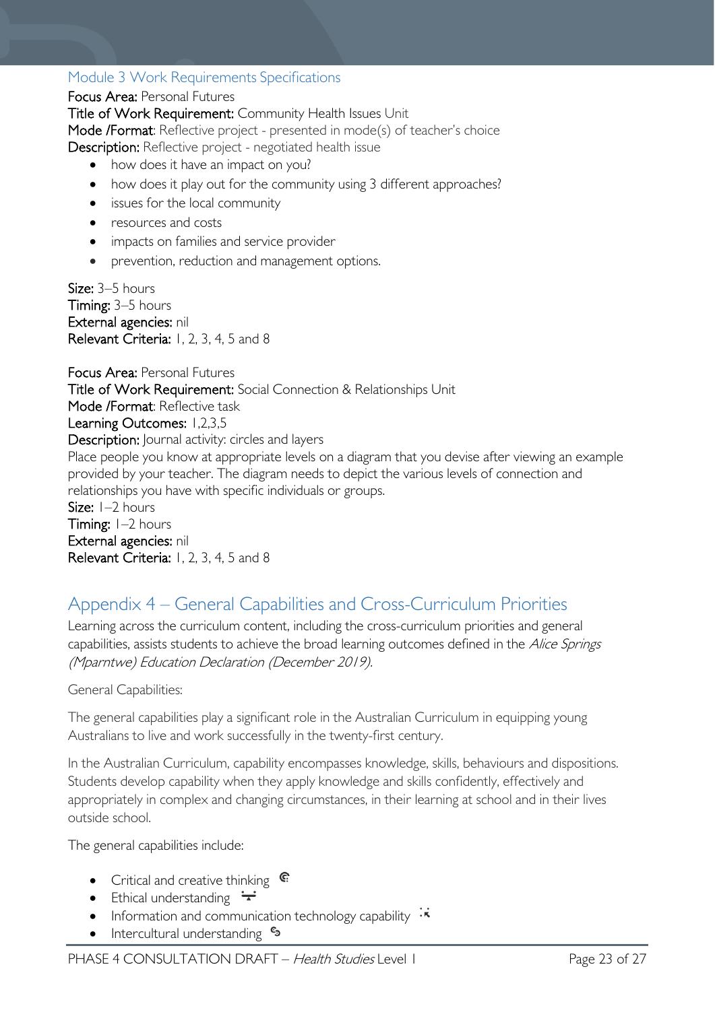# <span id="page-22-0"></span>Module 3 Work Requirements Specifications

### Focus Area: Personal Futures

Title of Work Requirement: Community Health Issues Unit Mode /Format: Reflective project - presented in mode(s) of teacher's choice Description: Reflective project - negotiated health issue

- how does it have an impact on you?
- how does it play out for the community using 3 different approaches?
- issues for the local community
- resources and costs
- impacts on families and service provider
- prevention, reduction and management options.

Size: 3-5 hours Timing: 3–5 hours External agencies: nil Relevant Criteria: 1, 2, 3, 4, 5 and 8

Focus Area: Personal Futures Title of Work Requirement: Social Connection & Relationships Unit Mode /Format: Reflective task Learning Outcomes: 1,2,3,5 Description: Journal activity: circles and layers Place people you know at appropriate levels on a diagram that you devise after viewing an example provided by your teacher. The diagram needs to depict the various levels of connection and relationships you have with specific individuals or groups. Size: 1–2 hours Timing:  $I-2$  hours External agencies: nil Relevant Criteria: 1, 2, 3, 4, 5 and 8

# <span id="page-22-1"></span>Appendix 4 – General Capabilities and Cross-Curriculum Priorities

Learning across the curriculum content, including the cross-curriculum priorities and general capabilities, assists students to achieve the broad learning outcomes defined in the Alice Springs (Mparntwe) Education Declaration (December 2019).

### General Capabilities:

The general capabilities play a significant role in the Australian Curriculum in equipping young Australians to live and work successfully in the twenty-first century.

In the Australian Curriculum, capability encompasses knowledge, skills, behaviours and dispositions. Students develop capability when they apply knowledge and skills confidently, effectively and appropriately in complex and changing circumstances, in their learning at school and in their lives outside school.

The general capabilities include:

- Critical and creative thinking  $\mathbb{C}$
- Ethical understanding  $\div$
- Information and communication technology capability  $\cdot \star$
- Intercultural understanding •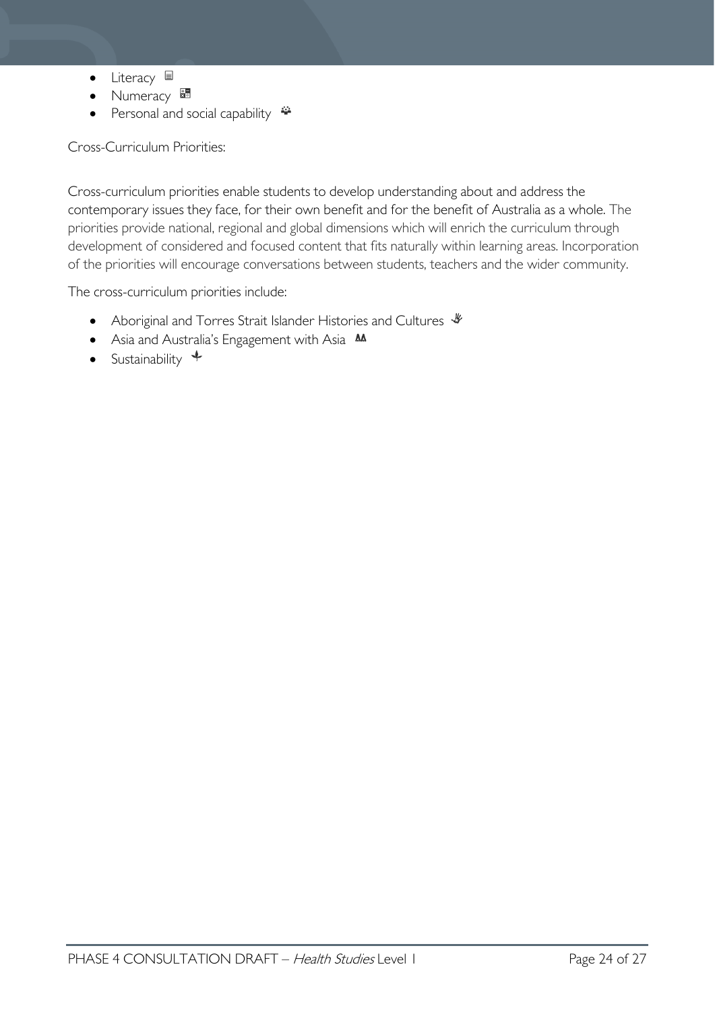- Literacy  $\blacksquare$
- Numeracy
- Personal and social capability

Cross-Curriculum Priorities:

Cross-curriculum priorities enable students to develop understanding about and address the contemporary issues they face, for their own benefit and for the benefit of Australia as a whole. The priorities provide national, regional and global dimensions which will enrich the curriculum through development of considered and focused content that fits naturally within learning areas. Incorporation of the priorities will encourage conversations between students, teachers and the wider community.

The cross-curriculum priorities include:

- Aboriginal and Torres Strait Islander Histories and Cultures  $\mathscr W$
- Asia and Australia's Engagement with Asia **M**
- Sustainability  $\triangleleft$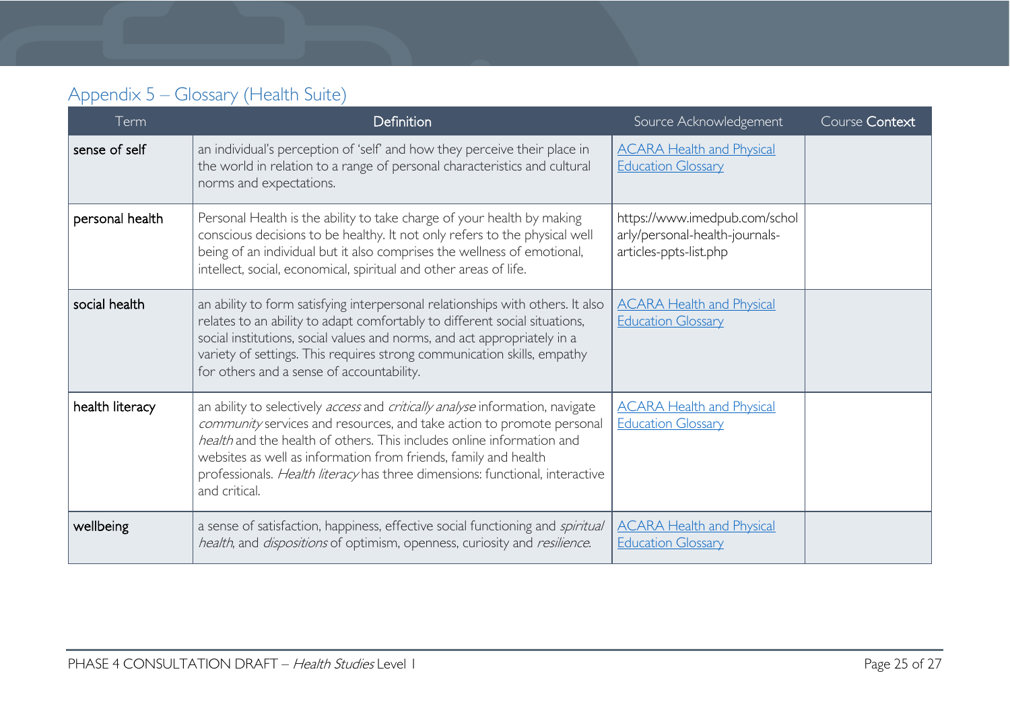# Appendix 5 – Glossary (Health Suite)

<span id="page-24-0"></span>

| Term            | Definition                                                                                                                                                                                                                                                                                                                                                                                          | Source Acknowledgement                                                                    | Course Context |
|-----------------|-----------------------------------------------------------------------------------------------------------------------------------------------------------------------------------------------------------------------------------------------------------------------------------------------------------------------------------------------------------------------------------------------------|-------------------------------------------------------------------------------------------|----------------|
| sense of self   | an individual's perception of 'self' and how they perceive their place in<br>the world in relation to a range of personal characteristics and cultural<br>norms and expectations.                                                                                                                                                                                                                   | <b>ACARA Health and Physical</b><br><b>Education Glossary</b>                             |                |
| personal health | Personal Health is the ability to take charge of your health by making<br>conscious decisions to be healthy. It not only refers to the physical well<br>being of an individual but it also comprises the wellness of emotional,<br>intellect, social, economical, spiritual and other areas of life.                                                                                                | https://www.imedpub.com/schol<br>arly/personal-health-journals-<br>articles-ppts-list.php |                |
| social health   | an ability to form satisfying interpersonal relationships with others. It also<br>relates to an ability to adapt comfortably to different social situations,<br>social institutions, social values and norms, and act appropriately in a<br>variety of settings. This requires strong communication skills, empathy<br>for others and a sense of accountability.                                    | <b>ACARA Health and Physical</b><br><b>Education Glossary</b>                             |                |
| health literacy | an ability to selectively access and critically analyse information, navigate<br>community services and resources, and take action to promote personal<br>health and the health of others. This includes online information and<br>websites as well as information from friends, family and health<br>professionals. Health literacy has three dimensions: functional, interactive<br>and critical. | <b>ACARA Health and Physical</b><br><b>Education Glossary</b>                             |                |
| wellbeing       | a sense of satisfaction, happiness, effective social functioning and spiritual<br>health, and dispositions of optimism, openness, curiosity and resilience.                                                                                                                                                                                                                                         | <b>ACARA Health and Physical</b><br><b>Education Glossary</b>                             |                |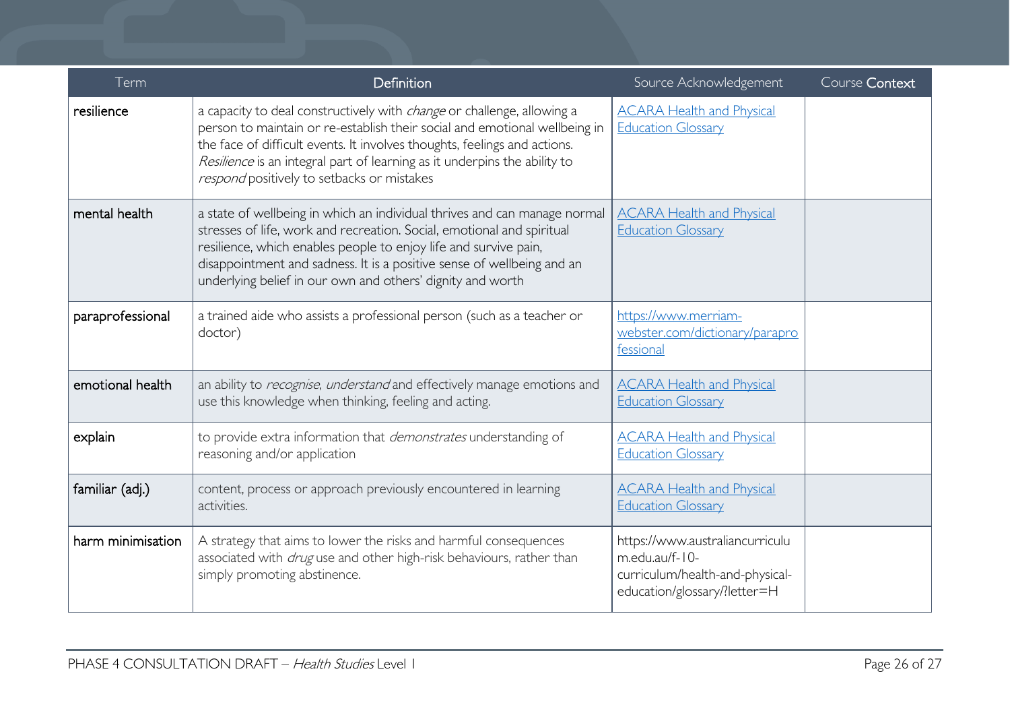| Term              | Definition                                                                                                                                                                                                                                                                                                                                                          | Source Acknowledgement                                                                                               | Course Context |
|-------------------|---------------------------------------------------------------------------------------------------------------------------------------------------------------------------------------------------------------------------------------------------------------------------------------------------------------------------------------------------------------------|----------------------------------------------------------------------------------------------------------------------|----------------|
| resilience        | a capacity to deal constructively with <i>change</i> or challenge, allowing a<br>person to maintain or re-establish their social and emotional wellbeing in<br>the face of difficult events. It involves thoughts, feelings and actions.<br>Resilience is an integral part of learning as it underpins the ability to<br>respond positively to setbacks or mistakes | <b>ACARA Health and Physical</b><br><b>Education Glossary</b>                                                        |                |
| mental health     | a state of wellbeing in which an individual thrives and can manage normal<br>stresses of life, work and recreation. Social, emotional and spiritual<br>resilience, which enables people to enjoy life and survive pain,<br>disappointment and sadness. It is a positive sense of wellbeing and an<br>underlying belief in our own and others' dignity and worth     | <b>ACARA Health and Physical</b><br><b>Education Glossary</b>                                                        |                |
| paraprofessional  | a trained aide who assists a professional person (such as a teacher or<br>doctor)                                                                                                                                                                                                                                                                                   | https://www.merriam-<br>webster.com/dictionary/parapro<br>fessional                                                  |                |
| emotional health  | an ability to recognise, understand and effectively manage emotions and<br>use this knowledge when thinking, feeling and acting.                                                                                                                                                                                                                                    | <b>ACARA Health and Physical</b><br><b>Education Glossary</b>                                                        |                |
| explain           | to provide extra information that <i>demonstrates</i> understanding of<br>reasoning and/or application                                                                                                                                                                                                                                                              | <b>ACARA Health and Physical</b><br><b>Education Glossary</b>                                                        |                |
| familiar (adj.)   | content, process or approach previously encountered in learning<br>activities.                                                                                                                                                                                                                                                                                      | <b>ACARA Health and Physical</b><br><b>Education Glossary</b>                                                        |                |
| harm minimisation | A strategy that aims to lower the risks and harmful consequences<br>associated with <i>drug</i> use and other high-risk behaviours, rather than<br>simply promoting abstinence.                                                                                                                                                                                     | https://www.australiancurriculu<br>m.edu.au/f-10-<br>curriculum/health-and-physical-<br>education/glossary/?letter=H |                |